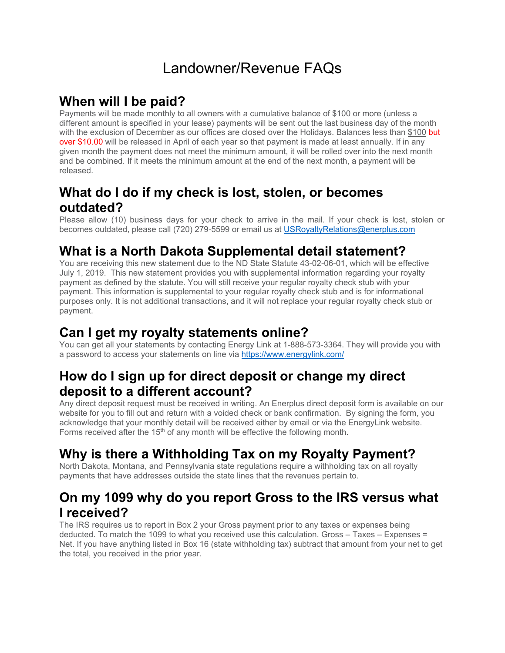# Landowner/Revenue FAQs

# **When will I be paid?**

Payments will be made monthly to all owners with a cumulative balance of \$100 or more (unless a different amount is specified in your lease) payments will be sent out the last business day of the month with the exclusion of December as our offices are closed over the Holidays. Balances less than \$100 but over \$10.00 will be released in April of each year so that payment is made at least annually. If in any given month the payment does not meet the minimum amount, it will be rolled over into the next month and be combined. If it meets the minimum amount at the end of the next month, a payment will be released.

# **What do I do if my check is lost, stolen, or becomes outdated?**

Please allow (10) business days for your check to arrive in the mail. If your check is lost, stolen or becomes outdated, please call (720) 279-5599 or email us at USRoyaltyRelations@enerplus.com

# **What is a North Dakota Supplemental detail statement?**

You are receiving this new statement due to the ND State Statute 43-02-06-01, which will be effective July 1, 2019. This new statement provides you with supplemental information regarding your royalty payment as defined by the statute. You will still receive your regular royalty check stub with your payment. This information is supplemental to your regular royalty check stub and is for informational purposes only. It is not additional transactions, and it will not replace your regular royalty check stub or payment.

# **Can I get my royalty statements online?**

You can get all your statements by contacting Energy Link at 1-888-573-3364. They will provide you with a password to access your statements on line via https://www.energylink.com/

#### **How do I sign up for direct deposit or change my direct deposit to a different account?**

Any direct deposit request must be received in writing. An Enerplus direct deposit form is available on our website for you to fill out and return with a voided check or bank confirmation. By signing the form, you acknowledge that your monthly detail will be received either by email or via the EnergyLink website. Forms received after the  $15<sup>th</sup>$  of any month will be effective the following month.

# **Why is there a Withholding Tax on my Royalty Payment?**

North Dakota, Montana, and Pennsylvania state regulations require a withholding tax on all royalty payments that have addresses outside the state lines that the revenues pertain to.

#### **On my 1099 why do you report Gross to the IRS versus what I received?**

The IRS requires us to report in Box 2 your Gross payment prior to any taxes or expenses being deducted. To match the 1099 to what you received use this calculation. Gross – Taxes – Expenses = Net. If you have anything listed in Box 16 (state withholding tax) subtract that amount from your net to get the total, you received in the prior year.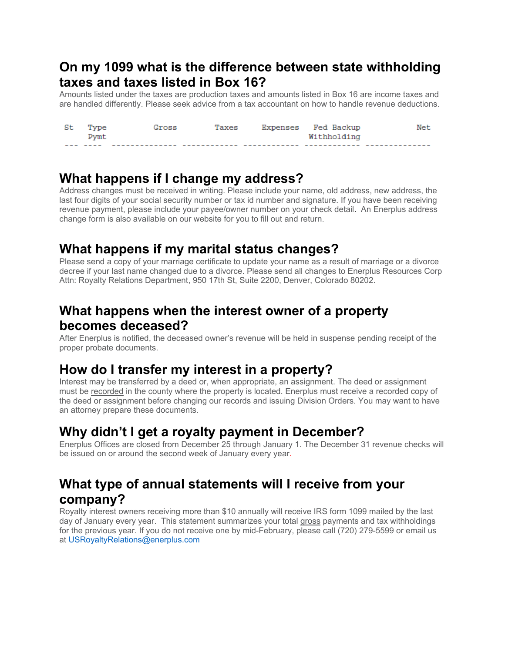#### **On my 1099 what is the difference between state withholding taxes and taxes listed in Box 16?**

Amounts listed under the taxes are production taxes and amounts listed in Box 16 are income taxes and are handled differently. Please seek advice from a tax accountant on how to handle revenue deductions.

| St | Type | Gross | Taxes | Expenses Fed Backup | Net |
|----|------|-------|-------|---------------------|-----|
|    | Pymt |       |       | Withholding         |     |
|    |      |       |       |                     |     |

#### **What happens if I change my address?**

Address changes must be received in writing. Please include your name, old address, new address, the last four digits of your social security number or tax id number and signature. If you have been receiving revenue payment, please include your payee/owner number on your check detail. An Enerplus address change form is also available on our website for you to fill out and return.

#### **What happens if my marital status changes?**

Please send a copy of your marriage certificate to update your name as a result of marriage or a divorce decree if your last name changed due to a divorce. Please send all changes to Enerplus Resources Corp Attn: Royalty Relations Department, 950 17th St, Suite 2200, Denver, Colorado 80202.

### **What happens when the interest owner of a property becomes deceased?**

After Enerplus is notified, the deceased owner's revenue will be held in suspense pending receipt of the proper probate documents.

#### **How do I transfer my interest in a property?**

Interest may be transferred by a deed or, when appropriate, an assignment. The deed or assignment must be recorded in the county where the property is located. Enerplus must receive a recorded copy of the deed or assignment before changing our records and issuing Division Orders. You may want to have an attorney prepare these documents.

# **Why didn't I get a royalty payment in December?**

Enerplus Offices are closed from December 25 through January 1. The December 31 revenue checks will be issued on or around the second week of January every year.

#### **What type of annual statements will I receive from your company?**

Royalty interest owners receiving more than \$10 annually will receive IRS form 1099 mailed by the last day of January every year. This statement summarizes your total gross payments and tax withholdings for the previous year. If you do not receive one by mid-February, please call (720) 279-5599 or email us at USRoyaltyRelations@enerplus.com